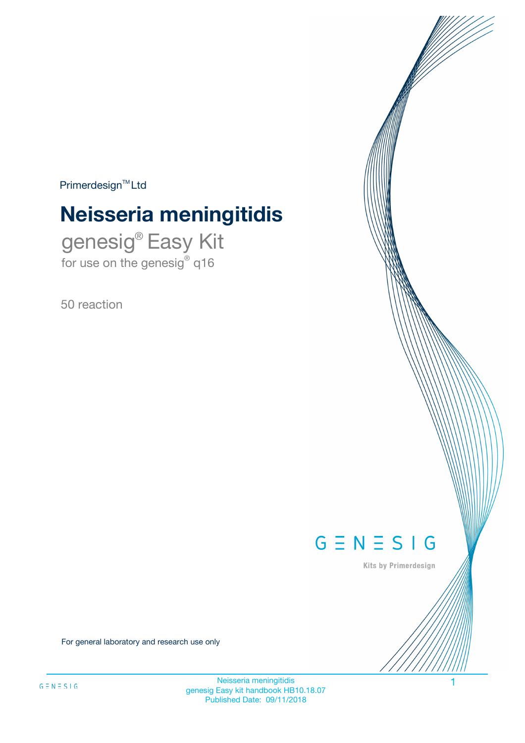$Primerdesign^{\text{TM}}Ltd$ 

# **Neisseria meningitidis**

genesig® Easy Kit for use on the genesig® q16

50 reaction



Kits by Primerdesign

For general laboratory and research use only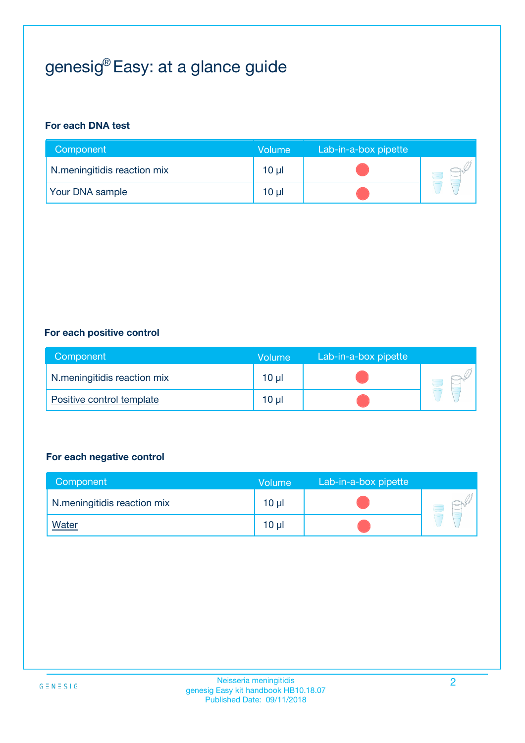## genesig® Easy: at a glance guide

#### **For each DNA test**

| Component                   | <b>Volume</b> | Lab-in-a-box pipette |  |
|-----------------------------|---------------|----------------------|--|
| N.meningitidis reaction mix | $10 \mu$      |                      |  |
| <b>Your DNA sample</b>      | 10 µl         |                      |  |

#### **For each positive control**

| Component                   | Volume          | Lab-in-a-box pipette |  |
|-----------------------------|-----------------|----------------------|--|
| N.meningitidis reaction mix | 10 <sub>µ</sub> |                      |  |
| Positive control template   | 10 <sub>µ</sub> |                      |  |

#### **For each negative control**

| Component                   | <b>Volume</b>   | Lab-in-a-box pipette |  |
|-----------------------------|-----------------|----------------------|--|
| N.meningitidis reaction mix | $10 \mu$        |                      |  |
| <u>Water</u>                | 10 <sub>µ</sub> |                      |  |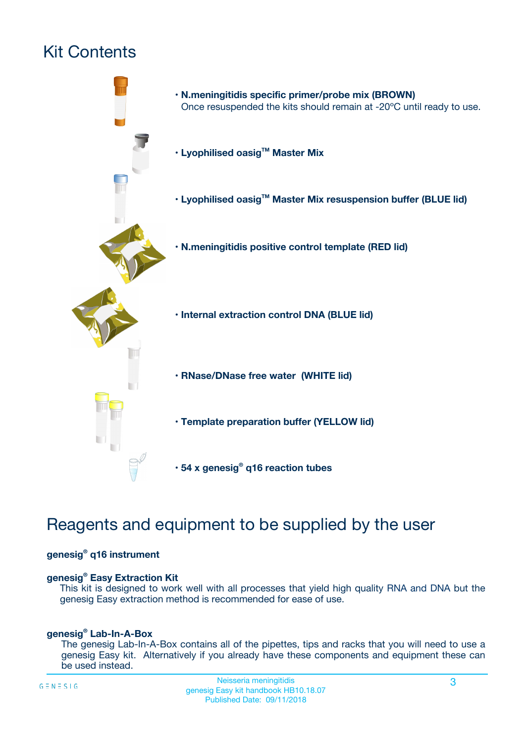## Kit Contents



## Reagents and equipment to be supplied by the user

#### **genesig® q16 instrument**

#### **genesig® Easy Extraction Kit**

This kit is designed to work well with all processes that yield high quality RNA and DNA but the genesig Easy extraction method is recommended for ease of use.

#### **genesig® Lab-In-A-Box**

The genesig Lab-In-A-Box contains all of the pipettes, tips and racks that you will need to use a genesig Easy kit. Alternatively if you already have these components and equipment these can be used instead.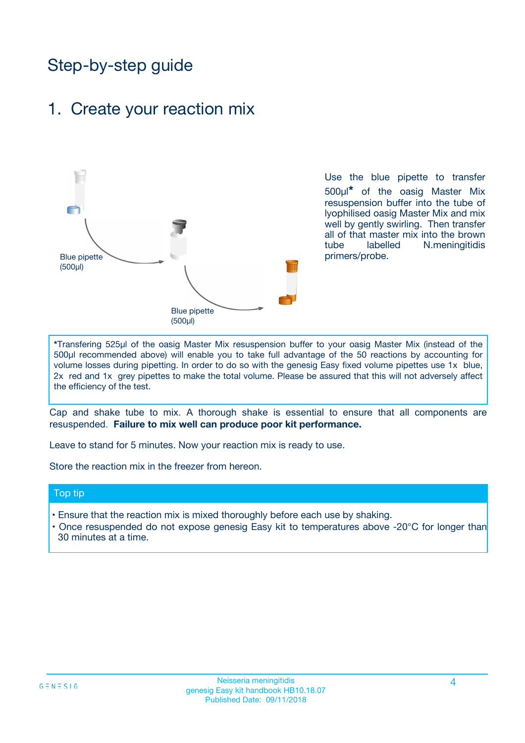## Step-by-step guide

### 1. Create your reaction mix



Use the blue pipette to transfer 500µl**\*** of the oasig Master Mix resuspension buffer into the tube of lyophilised oasig Master Mix and mix well by gently swirling. Then transfer all of that master mix into the brown tube labelled N.meningitidis primers/probe.

**\***Transfering 525µl of the oasig Master Mix resuspension buffer to your oasig Master Mix (instead of the 500µl recommended above) will enable you to take full advantage of the 50 reactions by accounting for volume losses during pipetting. In order to do so with the genesig Easy fixed volume pipettes use 1x blue, 2x red and 1x grey pipettes to make the total volume. Please be assured that this will not adversely affect the efficiency of the test.

Cap and shake tube to mix. A thorough shake is essential to ensure that all components are resuspended. **Failure to mix well can produce poor kit performance.**

Leave to stand for 5 minutes. Now your reaction mix is ready to use.

Store the reaction mix in the freezer from hereon.

#### Top tip

- Ensure that the reaction mix is mixed thoroughly before each use by shaking.
- **•** Once resuspended do not expose genesig Easy kit to temperatures above -20°C for longer than 30 minutes at a time.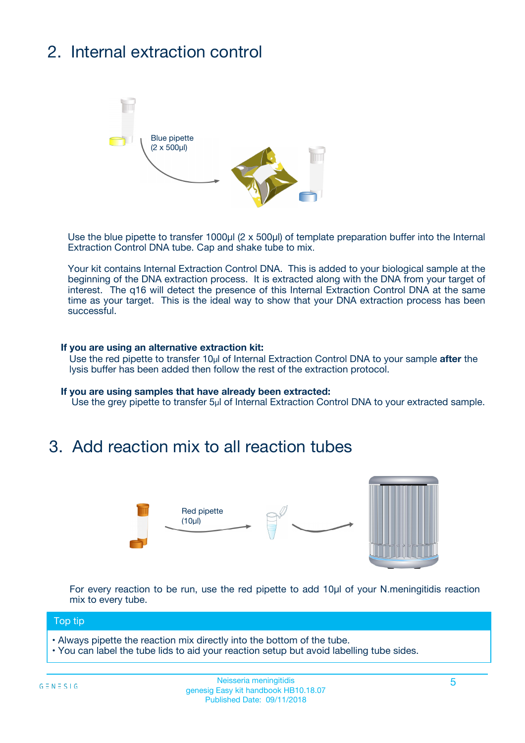## 2. Internal extraction control



Use the blue pipette to transfer 1000µl (2 x 500µl) of template preparation buffer into the Internal Extraction Control DNA tube. Cap and shake tube to mix.

Your kit contains Internal Extraction Control DNA. This is added to your biological sample at the beginning of the DNA extraction process. It is extracted along with the DNA from your target of interest. The q16 will detect the presence of this Internal Extraction Control DNA at the same time as your target. This is the ideal way to show that your DNA extraction process has been **successful.** 

#### **If you are using an alternative extraction kit:**

Use the red pipette to transfer 10µl of Internal Extraction Control DNA to your sample **after** the lysis buffer has been added then follow the rest of the extraction protocol.

#### **If you are using samples that have already been extracted:**

Use the grey pipette to transfer 5µl of Internal Extraction Control DNA to your extracted sample.

### 3. Add reaction mix to all reaction tubes



For every reaction to be run, use the red pipette to add 10µl of your N.meningitidis reaction mix to every tube.

#### Top tip

- Always pipette the reaction mix directly into the bottom of the tube.
- You can label the tube lids to aid your reaction setup but avoid labelling tube sides.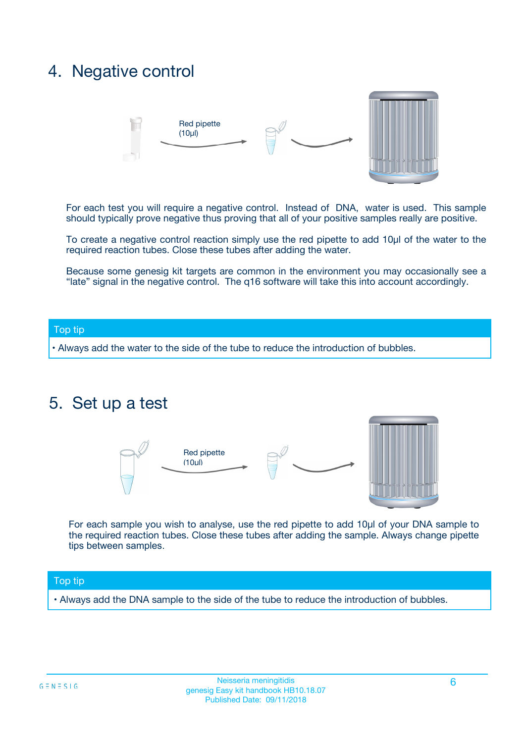### 4. Negative control



For each test you will require a negative control. Instead of DNA, water is used. This sample should typically prove negative thus proving that all of your positive samples really are positive.

To create a negative control reaction simply use the red pipette to add 10µl of the water to the required reaction tubes. Close these tubes after adding the water.

Because some genesig kit targets are common in the environment you may occasionally see a "late" signal in the negative control. The q16 software will take this into account accordingly.

#### Top tip

**•** Always add the water to the side of the tube to reduce the introduction of bubbles.

### 5. Set up a test



For each sample you wish to analyse, use the red pipette to add 10µl of your DNA sample to the required reaction tubes. Close these tubes after adding the sample. Always change pipette tips between samples.

#### Top tip

**•** Always add the DNA sample to the side of the tube to reduce the introduction of bubbles.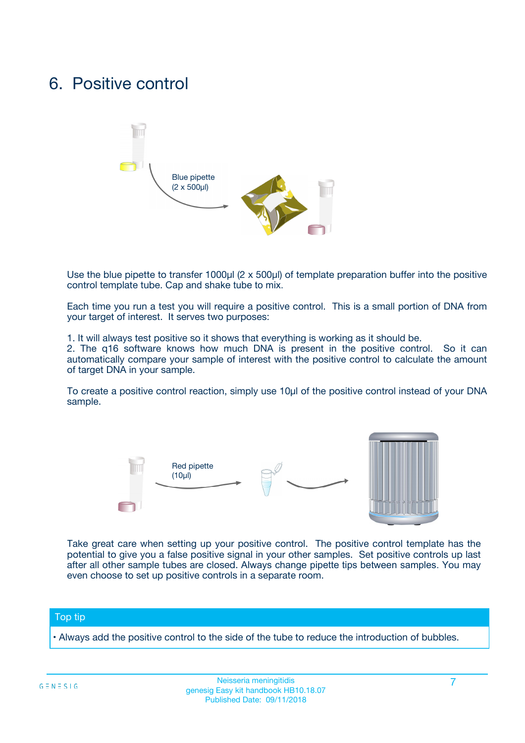### 6. Positive control



Use the blue pipette to transfer 1000µl (2 x 500µl) of template preparation buffer into the positive control template tube. Cap and shake tube to mix.

Each time you run a test you will require a positive control. This is a small portion of DNA from your target of interest. It serves two purposes:

1. It will always test positive so it shows that everything is working as it should be.

2. The q16 software knows how much DNA is present in the positive control. So it can automatically compare your sample of interest with the positive control to calculate the amount of target DNA in your sample.

To create a positive control reaction, simply use 10µl of the positive control instead of your DNA sample.



Take great care when setting up your positive control. The positive control template has the potential to give you a false positive signal in your other samples. Set positive controls up last after all other sample tubes are closed. Always change pipette tips between samples. You may even choose to set up positive controls in a separate room.

#### Top tip

**•** Always add the positive control to the side of the tube to reduce the introduction of bubbles.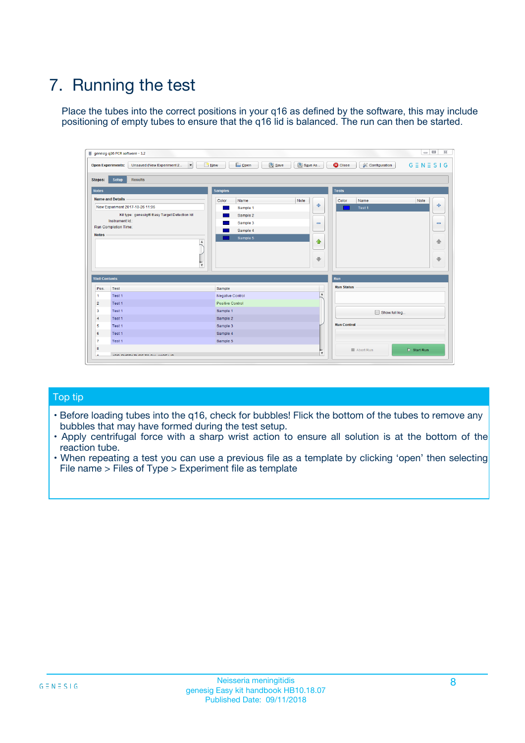## 7. Running the test

Place the tubes into the correct positions in your q16 as defined by the software, this may include positioning of empty tubes to ensure that the q16 lid is balanced. The run can then be started.

| genesig q16 PCR software - 1.2                                               |                                     | $\Box$                                                                                  |
|------------------------------------------------------------------------------|-------------------------------------|-----------------------------------------------------------------------------------------|
| Unsaved (New Experiment 2<br>$\vert \cdot \vert$<br><b>Open Experiments:</b> | <b>D</b> Open<br>Save<br>$\Box$ New | Save As<br><b>C</b> Close<br>$G \equiv N \equiv S \mid G$<br><b>&amp; Configuration</b> |
| Setup<br><b>Results</b><br><b>Stages:</b>                                    |                                     |                                                                                         |
| <b>Notes</b>                                                                 | Samples                             | <b>Tests</b>                                                                            |
| <b>Name and Details</b>                                                      | Color<br>Name                       | Note<br>Color<br>Note<br>Name                                                           |
| New Experiment 2017-10-26 11:06                                              | Sample 1                            | ع<br>条<br>Test 1                                                                        |
| Kit type: genesig® Easy Target Detection kit                                 | Sample 2                            |                                                                                         |
| Instrument Id.:                                                              | Sample 3                            | $\qquad \qquad \blacksquare$<br>$\qquad \qquad \blacksquare$                            |
| Run Completion Time:                                                         | Sample 4                            |                                                                                         |
| <b>Notes</b>                                                                 | Sample 5<br>A<br>v                  | $\triangle$<br>4<br>$\oplus$<br>₩                                                       |
| <b>Well Contents</b>                                                         |                                     | <b>Run</b>                                                                              |
| Pos.<br>Test                                                                 | Sample                              | <b>Run Status</b>                                                                       |
| Test 1<br>-1                                                                 | <b>Negative Control</b>             | $\blacktriangle$                                                                        |
| $\overline{2}$<br>Test 1                                                     | <b>Positive Control</b>             |                                                                                         |
| $\overline{\mathbf{3}}$<br>Test 1                                            | Sample 1                            | Show full log                                                                           |
| Test 1<br>$\overline{4}$                                                     | Sample 2                            |                                                                                         |
| 5<br>Test 1                                                                  | Sample 3                            | <b>Run Control</b>                                                                      |
| 6<br>Test 1                                                                  | Sample 4                            |                                                                                         |
| $\overline{7}$<br>Test 1                                                     | Sample 5                            |                                                                                         |
| 8                                                                            |                                     | $\triangleright$ Start Run<br>Abort Run                                                 |
| <b>JOD FURTY TUDE TO BUILDED IN</b>                                          |                                     | $\overline{\mathbf{v}}$                                                                 |

#### Top tip

- Before loading tubes into the q16, check for bubbles! Flick the bottom of the tubes to remove any bubbles that may have formed during the test setup.
- Apply centrifugal force with a sharp wrist action to ensure all solution is at the bottom of the reaction tube.
- When repeating a test you can use a previous file as a template by clicking 'open' then selecting File name > Files of Type > Experiment file as template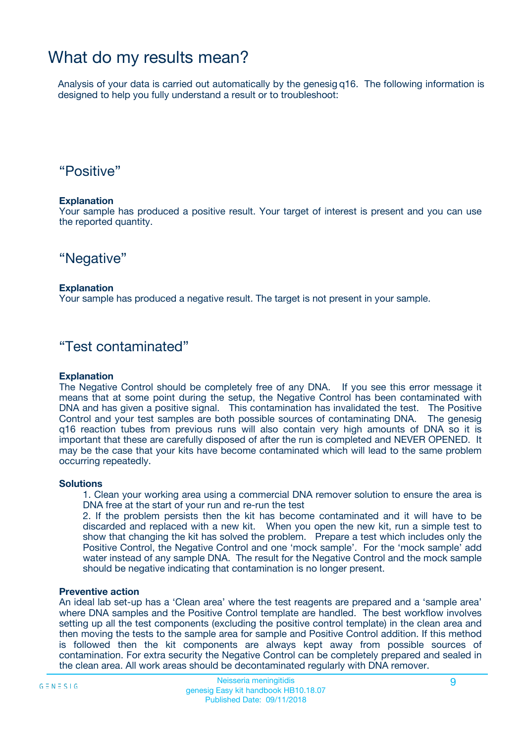### What do my results mean?

Analysis of your data is carried out automatically by the genesig q16. The following information is designed to help you fully understand a result or to troubleshoot:

### "Positive"

#### **Explanation**

Your sample has produced a positive result. Your target of interest is present and you can use the reported quantity.

"Negative"

#### **Explanation**

Your sample has produced a negative result. The target is not present in your sample.

### "Test contaminated"

#### **Explanation**

The Negative Control should be completely free of any DNA. If you see this error message it means that at some point during the setup, the Negative Control has been contaminated with DNA and has given a positive signal. This contamination has invalidated the test. The Positive Control and your test samples are both possible sources of contaminating DNA. The genesig q16 reaction tubes from previous runs will also contain very high amounts of DNA so it is important that these are carefully disposed of after the run is completed and NEVER OPENED. It may be the case that your kits have become contaminated which will lead to the same problem occurring repeatedly.

#### **Solutions**

1. Clean your working area using a commercial DNA remover solution to ensure the area is DNA free at the start of your run and re-run the test

2. If the problem persists then the kit has become contaminated and it will have to be discarded and replaced with a new kit. When you open the new kit, run a simple test to show that changing the kit has solved the problem. Prepare a test which includes only the Positive Control, the Negative Control and one 'mock sample'. For the 'mock sample' add water instead of any sample DNA. The result for the Negative Control and the mock sample should be negative indicating that contamination is no longer present.

#### **Preventive action**

An ideal lab set-up has a 'Clean area' where the test reagents are prepared and a 'sample area' where DNA samples and the Positive Control template are handled. The best workflow involves setting up all the test components (excluding the positive control template) in the clean area and then moving the tests to the sample area for sample and Positive Control addition. If this method is followed then the kit components are always kept away from possible sources of contamination. For extra security the Negative Control can be completely prepared and sealed in the clean area. All work areas should be decontaminated regularly with DNA remover.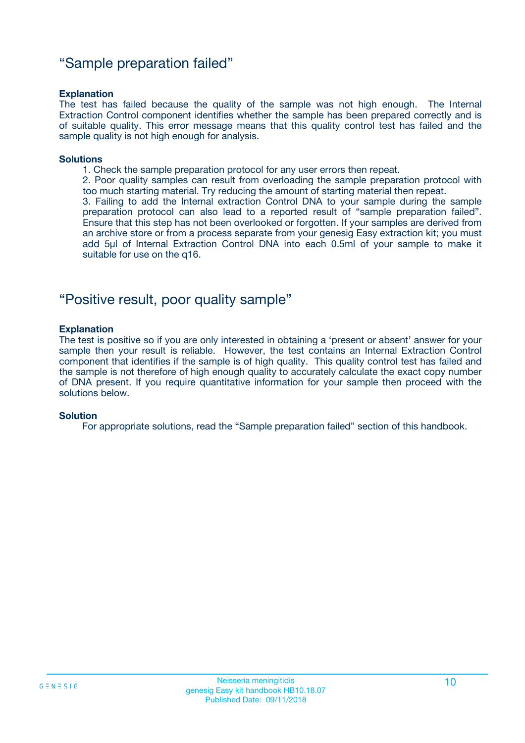### "Sample preparation failed"

#### **Explanation**

The test has failed because the quality of the sample was not high enough. The Internal Extraction Control component identifies whether the sample has been prepared correctly and is of suitable quality. This error message means that this quality control test has failed and the sample quality is not high enough for analysis.

#### **Solutions**

1. Check the sample preparation protocol for any user errors then repeat.

2. Poor quality samples can result from overloading the sample preparation protocol with too much starting material. Try reducing the amount of starting material then repeat.

3. Failing to add the Internal extraction Control DNA to your sample during the sample preparation protocol can also lead to a reported result of "sample preparation failed". Ensure that this step has not been overlooked or forgotten. If your samples are derived from an archive store or from a process separate from your genesig Easy extraction kit; you must add 5µl of Internal Extraction Control DNA into each 0.5ml of your sample to make it suitable for use on the q16.

### "Positive result, poor quality sample"

#### **Explanation**

The test is positive so if you are only interested in obtaining a 'present or absent' answer for your sample then your result is reliable. However, the test contains an Internal Extraction Control component that identifies if the sample is of high quality. This quality control test has failed and the sample is not therefore of high enough quality to accurately calculate the exact copy number of DNA present. If you require quantitative information for your sample then proceed with the solutions below.

#### **Solution**

For appropriate solutions, read the "Sample preparation failed" section of this handbook.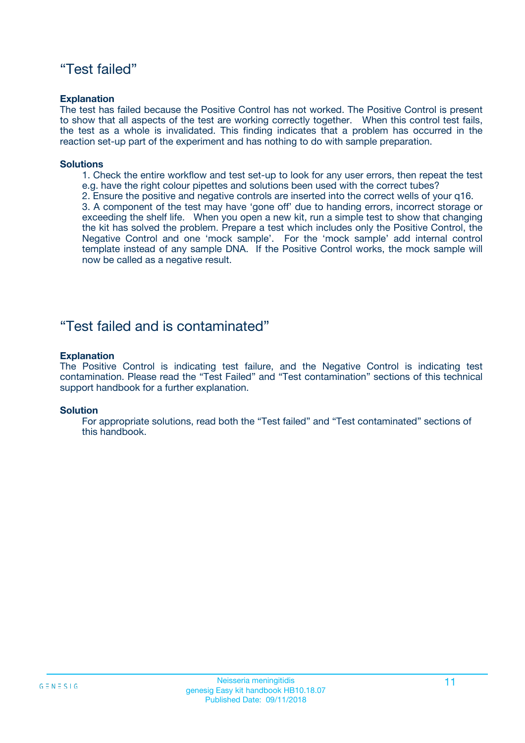### "Test failed"

#### **Explanation**

The test has failed because the Positive Control has not worked. The Positive Control is present to show that all aspects of the test are working correctly together. When this control test fails, the test as a whole is invalidated. This finding indicates that a problem has occurred in the reaction set-up part of the experiment and has nothing to do with sample preparation.

#### **Solutions**

- 1. Check the entire workflow and test set-up to look for any user errors, then repeat the test e.g. have the right colour pipettes and solutions been used with the correct tubes?
- 2. Ensure the positive and negative controls are inserted into the correct wells of your q16.

3. A component of the test may have 'gone off' due to handing errors, incorrect storage or exceeding the shelf life. When you open a new kit, run a simple test to show that changing the kit has solved the problem. Prepare a test which includes only the Positive Control, the Negative Control and one 'mock sample'. For the 'mock sample' add internal control template instead of any sample DNA. If the Positive Control works, the mock sample will now be called as a negative result.

### "Test failed and is contaminated"

#### **Explanation**

The Positive Control is indicating test failure, and the Negative Control is indicating test contamination. Please read the "Test Failed" and "Test contamination" sections of this technical support handbook for a further explanation.

#### **Solution**

For appropriate solutions, read both the "Test failed" and "Test contaminated" sections of this handbook.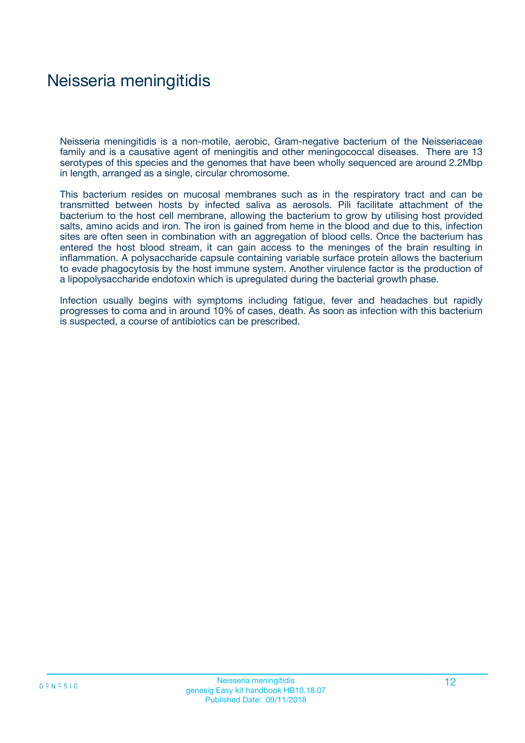### Neisseria meningitidis

Neisseria meningitidis is a non-motile, aerobic, Gram-negative bacterium of the Neisseriaceae family and is a causative agent of meningitis and other meningococcal diseases. There are 13 serotypes of this species and the genomes that have been wholly sequenced are around 2.2Mbp in length, arranged as a single, circular chromosome.

This bacterium resides on mucosal membranes such as in the respiratory tract and can be transmitted between hosts by infected saliva as aerosols. Pili facilitate attachment of the bacterium to the host cell membrane, allowing the bacterium to grow by utilising host provided salts, amino acids and iron. The iron is gained from heme in the blood and due to this, infection sites are often seen in combination with an aggregation of blood cells. Once the bacterium has entered the host blood stream, it can gain access to the meninges of the brain resulting in inflammation. A polysaccharide capsule containing variable surface protein allows the bacterium to evade phagocytosis by the host immune system. Another virulence factor is the production of a lipopolysaccharide endotoxin which is upregulated during the bacterial growth phase.

Infection usually begins with symptoms including fatigue, fever and headaches but rapidly progresses to coma and in around 10% of cases, death. As soon as infection with this bacterium is suspected, a course of antibiotics can be prescribed.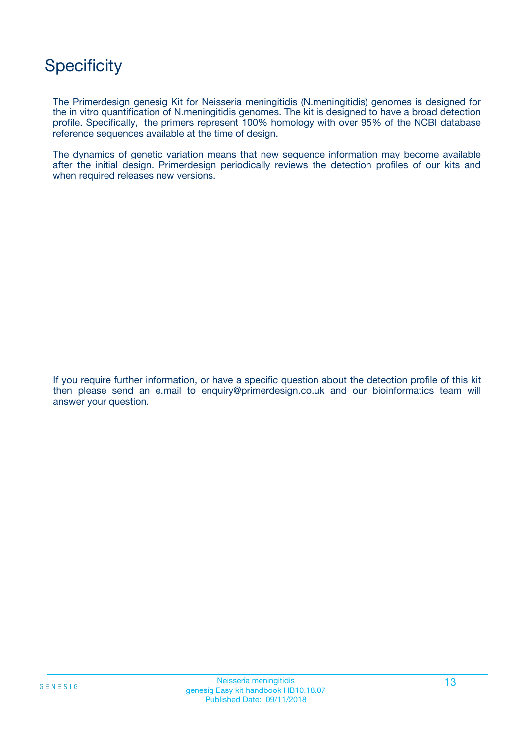## **Specificity**

The Primerdesign genesig Kit for Neisseria meningitidis (N.meningitidis) genomes is designed for the in vitro quantification of N.meningitidis genomes. The kit is designed to have a broad detection profile. Specifically, the primers represent 100% homology with over 95% of the NCBI database reference sequences available at the time of design.

The dynamics of genetic variation means that new sequence information may become available after the initial design. Primerdesign periodically reviews the detection profiles of our kits and when required releases new versions.

If you require further information, or have a specific question about the detection profile of this kit then please send an e.mail to enquiry@primerdesign.co.uk and our bioinformatics team will answer your question.